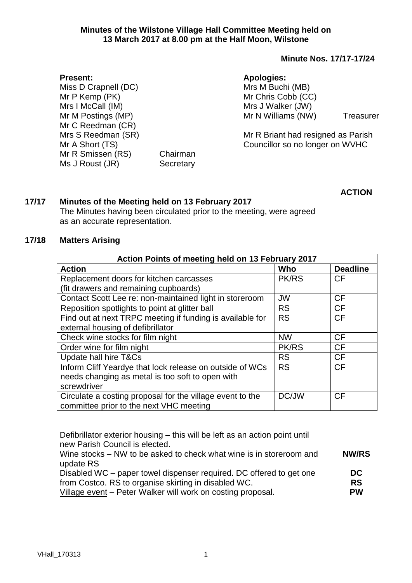#### **Minute Nos. 17/17-17/24**

#### **Apologies:**

Mrs M Buchi (MB) Mr Chris Cobb (CC) Mrs J Walker (JW) Mr N Williams (NW) Treasurer

Mr R Briant had resigned as Parish Councillor so no longer on WVHC

**ACTION**

# **17/17 Minutes of the Meeting held on 13 February 2017**

Mr R Smissen (RS) Chairman Ms J Roust (JR) Secretary

The Minutes having been circulated prior to the meeting, were agreed as an accurate representation.

## **17/18 Matters Arising**

**Present:**

Miss D Crapnell (DC) Mr P Kemp (PK) Mrs I McCall (IM) Mr M Postings (MP) Mr C Reedman (CR) Mrs S Reedman (SR)

Mr A Short (TS)

| Action Points of meeting held on 13 February 2017         |              |                 |  |  |
|-----------------------------------------------------------|--------------|-----------------|--|--|
| <b>Action</b>                                             | Who          | <b>Deadline</b> |  |  |
| Replacement doors for kitchen carcasses                   | <b>PK/RS</b> | <b>CF</b>       |  |  |
| (fit drawers and remaining cupboards)                     |              |                 |  |  |
| Contact Scott Lee re: non-maintained light in storeroom   | <b>JW</b>    | CF              |  |  |
| Reposition spotlights to point at glitter ball            | <b>RS</b>    | <b>CF</b>       |  |  |
| Find out at next TRPC meeting if funding is available for | <b>RS</b>    | <b>CF</b>       |  |  |
| external housing of defibrillator                         |              |                 |  |  |
| Check wine stocks for film night                          | <b>NW</b>    | <b>CF</b>       |  |  |
| Order wine for film night                                 | <b>PK/RS</b> | <b>CF</b>       |  |  |
| Update hall hire T&Cs                                     | <b>RS</b>    | <b>CF</b>       |  |  |
| Inform Cliff Yeardye that lock release on outside of WCs  | <b>RS</b>    | <b>CF</b>       |  |  |
| needs changing as metal is too soft to open with          |              |                 |  |  |
| screwdriver                                               |              |                 |  |  |
| Circulate a costing proposal for the village event to the | DC/JW        | <b>CF</b>       |  |  |
| committee prior to the next VHC meeting                   |              |                 |  |  |

Defibrillator exterior housing – this will be left as an action point until new Parish Council is elected.

Wine stocks – NW to be asked to check what wine is in storeroom and update RS Disabled WC – paper towel dispenser required. DC offered to get one from Costco. RS to organise skirting in disabled WC. **NW/RS DC RS**

Village event – Peter Walker will work on costing proposal. **PW**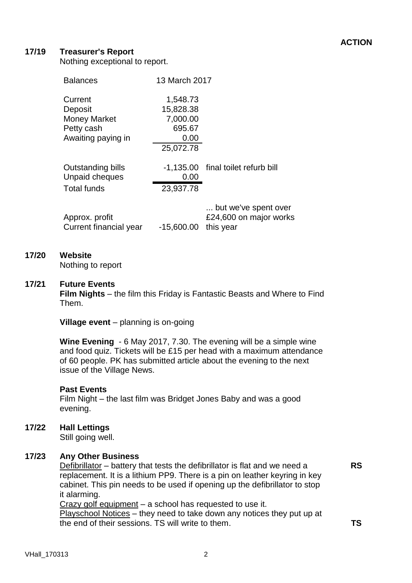## **17/19 Treasurer's Report**

Nothing exceptional to report.

| <b>Balances</b>                          | 13 March 2017 |                                                             |
|------------------------------------------|---------------|-------------------------------------------------------------|
| Current                                  | 1,548.73      |                                                             |
| Deposit                                  | 15,828.38     |                                                             |
| <b>Money Market</b>                      | 7,000.00      |                                                             |
| Petty cash                               | 695.67        |                                                             |
| Awaiting paying in                       | 0.00          |                                                             |
|                                          | 25,072.78     |                                                             |
| Outstanding bills<br>Unpaid cheques      | 0.00          | -1,135.00 final toilet refurb bill                          |
| <b>Total funds</b>                       | 23,937.78     |                                                             |
| Approx. profit<br>Current financial year | $-15,600.00$  | but we've spent over<br>£24,600 on major works<br>this year |

## **17/20 Website**

Nothing to report

#### **17/21 Future Events**

**Film Nights** – the film this Friday is Fantastic Beasts and Where to Find Them.

**Village event** – planning is on-going

**Wine Evening** - 6 May 2017, 7.30. The evening will be a simple wine and food quiz. Tickets will be £15 per head with a maximum attendance of 60 people. PK has submitted article about the evening to the next issue of the Village News.

#### **Past Events**

Film Night – the last film was Bridget Jones Baby and was a good evening.

**17/22 Hall Lettings**

Still going well.

### **17/23 Any Other Business**

Defibrillator – battery that tests the defibrillator is flat and we need a replacement. It is a lithium PP9. There is a pin on leather keyring in key cabinet. This pin needs to be used if opening up the defibrillator to stop it alarming.

Crazy golf equipment – a school has requested to use it.

Playschool Notices – they need to take down any notices they put up at the end of their sessions. TS will write to them.

**RS**

**TS**